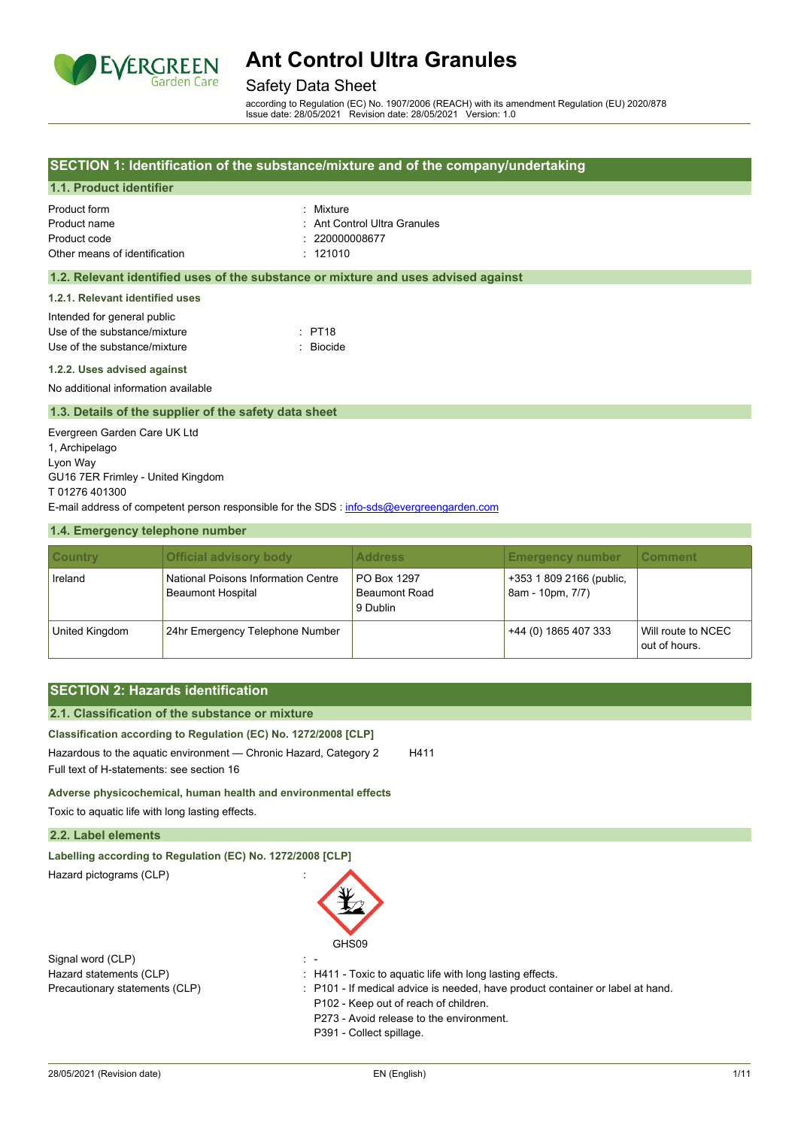

### Safety Data Sheet

according to Regulation (EC) No. 1907/2006 (REACH) with its amendment Regulation (EU) 2020/878 Issue date: 28/05/2021 Revision date: 28/05/2021 Version: 1.0

#### **SECTION 1: Identification of the substance/mixture and of the company/undertaking**

### **1.1. Product identifier**

| Product form                  | · Mixture                    |
|-------------------------------|------------------------------|
| Product name                  | : Ant Control Ultra Granules |
| Product code                  | : 2200000008677              |
| Other means of identification | $\cdot$ 121010               |

#### **1.2. Relevant identified uses of the substance or mixture and uses advised against**

#### **1.2.1. Relevant identified uses**

| Intended for general public  |           |
|------------------------------|-----------|
| Use of the substance/mixture | : PT18    |
| Use of the substance/mixture | : Biocide |

#### **1.2.2. Uses advised against**

No additional information available

#### **1.3. Details of the supplier of the safety data sheet**

Evergreen Garden Care UK Ltd 1, Archipelago Lyon Way GU16 7ER Frimley - United Kingdom T 01276 401300 E-mail address of competent person responsible for the SDS : info-sds@evergreengarden.com

#### **1.4. Emergency telephone number**

| <b>Country</b> | <b>Official advisory body</b>                                          | <b>Address</b>                                         | <b>Emergency number</b>                      | <b>Comment</b>                      |
|----------------|------------------------------------------------------------------------|--------------------------------------------------------|----------------------------------------------|-------------------------------------|
| Ireland        | <b>National Poisons Information Centre</b><br><b>Beaumont Hospital</b> | <b>PO Box 1297</b><br><b>Beaumont Road</b><br>9 Dublin | +353 1 809 2166 (public,<br>8am - 10pm, 7/7) |                                     |
| United Kingdom | 24hr Emergency Telephone Number                                        |                                                        | +44 (0) 1865 407 333                         | Will route to NCEC<br>out of hours. |

## **SECTION 2: Hazards identification**

## **2.1. Classification of the substance or mixture**

#### **Classification according to Regulation (EC) No. 1272/2008 [CLP]**

Hazardous to the aquatic environment - Chronic Hazard, Category 2 H411 Full text of H-statements: see section 16

**Adverse physicochemical, human health and environmental effects**

Toxic to aquatic life with long lasting effects.

#### **2.2. Label elements**

| Labelling according to Regulation (EC) No. 1272/2008 [CLP] |                                                                                |
|------------------------------------------------------------|--------------------------------------------------------------------------------|
| Hazard pictograms (CLP)                                    |                                                                                |
|                                                            | GHS09                                                                          |
| Signal word (CLP)                                          |                                                                                |
| Hazard statements (CLP)                                    | $\pm$ H411 - Toxic to aquatic life with long lasting effects.                  |
| Precautionary statements (CLP)                             | : P101 - If medical advice is needed, have product container or label at hand. |
|                                                            | P102 - Keep out of reach of children.                                          |
|                                                            | P273 - Avoid release to the environment.                                       |

P391 - Collect spillage.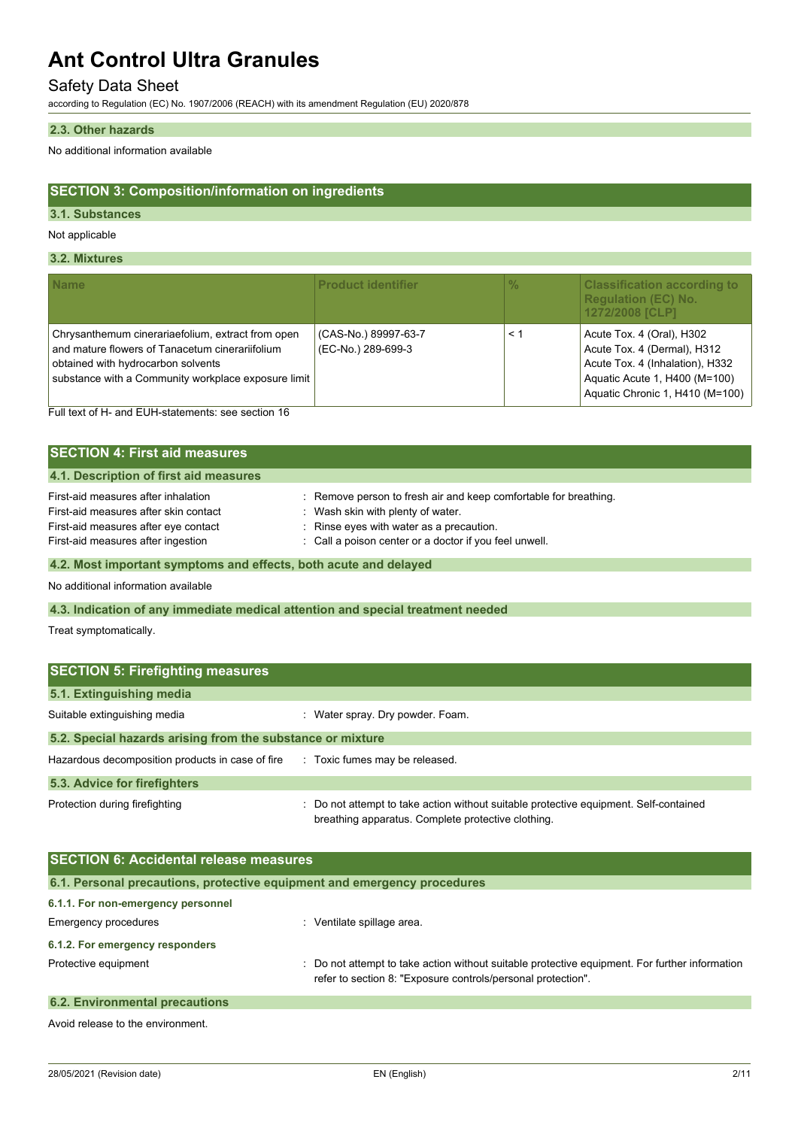## Safety Data Sheet

according to Regulation (EC) No. 1907/2006 (REACH) with its amendment Regulation (EU) 2020/878

#### **2.3. Other hazards**

No additional information available

## **SECTION 3: Composition/information on ingredients**

#### **3.1. Substances**

Not applicable

#### **3.2. Mixtures**

| <b>Name</b>                                                                                                                                                                                       | <b>Product identifier</b>                  | $\frac{0}{0}$ | <b>Classification according to</b><br><b>Regulation (EC) No.</b><br>1272/2008 [CLP]                                                                             |
|---------------------------------------------------------------------------------------------------------------------------------------------------------------------------------------------------|--------------------------------------------|---------------|-----------------------------------------------------------------------------------------------------------------------------------------------------------------|
| Chrysanthemum cinerariaefolium, extract from open<br>and mature flowers of Tanacetum cinerariifolium<br>obtained with hydrocarbon solvents<br>substance with a Community workplace exposure limit | (CAS-No.) 89997-63-7<br>(EC-No.) 289-699-3 | < 1           | Acute Tox. 4 (Oral), H302<br>Acute Tox. 4 (Dermal), H312<br>Acute Tox. 4 (Inhalation), H332<br>Aquatic Acute 1, H400 (M=100)<br>Aquatic Chronic 1, H410 (M=100) |

Full text of H- and EUH-statements: see section 16

| <b>SECTION 4: First aid measures</b>                                                                                                                       |                                                                                                                                                                                                         |  |
|------------------------------------------------------------------------------------------------------------------------------------------------------------|---------------------------------------------------------------------------------------------------------------------------------------------------------------------------------------------------------|--|
| 4.1. Description of first aid measures                                                                                                                     |                                                                                                                                                                                                         |  |
| First-aid measures after inhalation<br>First-aid measures after skin contact<br>First-aid measures after eye contact<br>First-aid measures after ingestion | Remove person to fresh air and keep comfortable for breathing.<br>: Wash skin with plenty of water.<br>Rinse eyes with water as a precaution.<br>: Call a poison center or a doctor if you feel unwell. |  |

## **4.2. Most important symptoms and effects, both acute and delayed**

No additional information available

### **4.3. Indication of any immediate medical attention and special treatment needed**

Treat symptomatically.

| <b>SECTION 5: Firefighting measures</b>                    |                                                                                                                                             |  |  |  |
|------------------------------------------------------------|---------------------------------------------------------------------------------------------------------------------------------------------|--|--|--|
| 5.1. Extinguishing media                                   |                                                                                                                                             |  |  |  |
| Suitable extinguishing media                               | : Water spray. Dry powder. Foam.                                                                                                            |  |  |  |
| 5.2. Special hazards arising from the substance or mixture |                                                                                                                                             |  |  |  |
| Hazardous decomposition products in case of fire           | : Toxic fumes may be released.                                                                                                              |  |  |  |
| 5.3. Advice for firefighters                               |                                                                                                                                             |  |  |  |
| Protection during firefighting                             | : Do not attempt to take action without suitable protective equipment. Self-contained<br>breathing apparatus. Complete protective clothing. |  |  |  |

| <b>SECTION 6: Accidental release measures</b>                            |                                                                                                                                                                |  |  |  |
|--------------------------------------------------------------------------|----------------------------------------------------------------------------------------------------------------------------------------------------------------|--|--|--|
| 6.1. Personal precautions, protective equipment and emergency procedures |                                                                                                                                                                |  |  |  |
| 6.1.1. For non-emergency personnel                                       |                                                                                                                                                                |  |  |  |
| Emergency procedures                                                     | Ventilate spillage area.                                                                                                                                       |  |  |  |
| 6.1.2. For emergency responders                                          |                                                                                                                                                                |  |  |  |
| Protective equipment                                                     | : Do not attempt to take action without suitable protective equipment. For further information<br>refer to section 8: "Exposure controls/personal protection". |  |  |  |
| <b>6.2. Environmental precautions</b>                                    |                                                                                                                                                                |  |  |  |

Avoid release to the environment.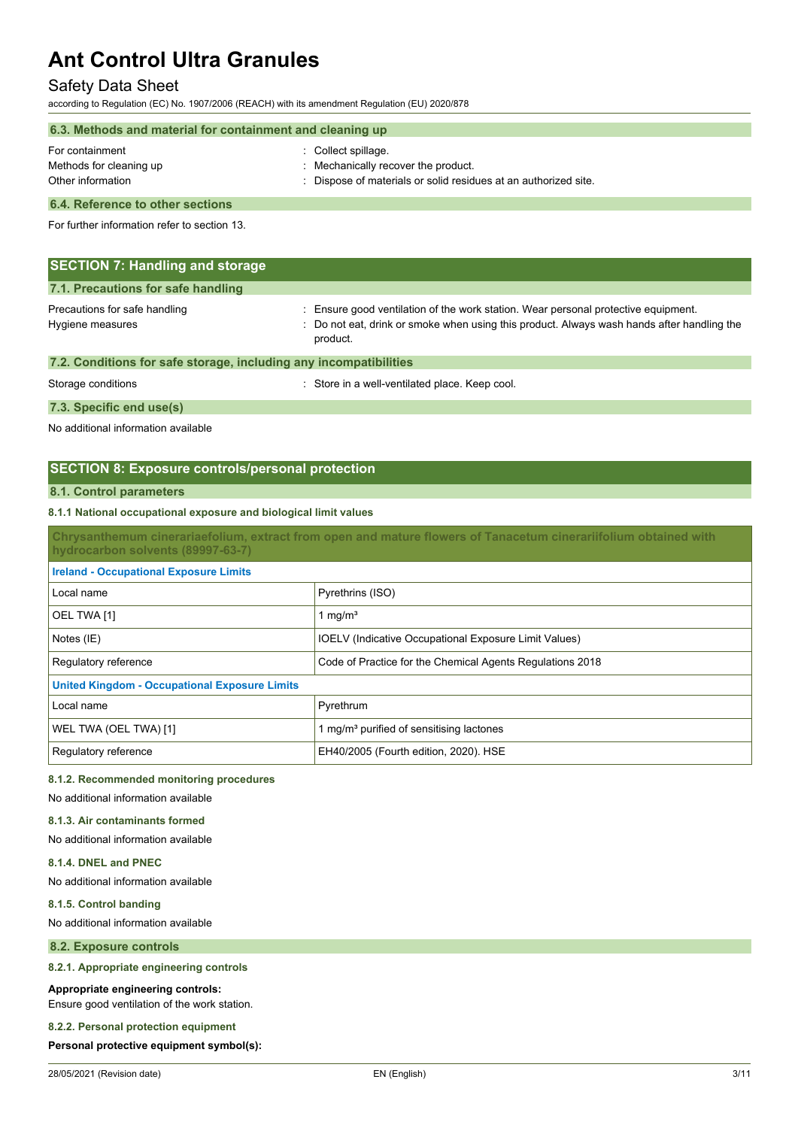## Safety Data Sheet

according to Regulation (EC) No. 1907/2006 (REACH) with its amendment Regulation (EU) 2020/878

| 6.3. Methods and material for containment and cleaning up       |                                                                                                                             |  |
|-----------------------------------------------------------------|-----------------------------------------------------------------------------------------------------------------------------|--|
| For containment<br>Methods for cleaning up<br>Other information | Collect spillage.<br>: Mechanically recover the product.<br>: Dispose of materials or solid residues at an authorized site. |  |
|                                                                 |                                                                                                                             |  |

#### **6.4. Reference to other sections**

For further information refer to section 13.

| <b>SECTION 7: Handling and storage</b>                            |                                                                                                                                                                                              |  |  |  |
|-------------------------------------------------------------------|----------------------------------------------------------------------------------------------------------------------------------------------------------------------------------------------|--|--|--|
| 7.1. Precautions for safe handling                                |                                                                                                                                                                                              |  |  |  |
| Precautions for safe handling<br>Hygiene measures                 | : Ensure good ventilation of the work station. Wear personal protective equipment.<br>: Do not eat, drink or smoke when using this product. Always wash hands after handling the<br>product. |  |  |  |
| 7.2. Conditions for safe storage, including any incompatibilities |                                                                                                                                                                                              |  |  |  |
| Storage conditions                                                | : Store in a well-ventilated place. Keep cool.                                                                                                                                               |  |  |  |

## **7.3. Specific end use(s)**

No additional information available

## **SECTION 8: Exposure controls/personal protection**

#### **8.1. Control parameters**

#### **8.1.1 National occupational exposure and biological limit values**

**Chrysanthemum cinerariaefolium, extract from open and mature flowers of Tanacetum cinerariifolium obtained with hydrocarbon solvents (89997-63-7)**

| <b>Ireland - Occupational Exposure Limits</b>        |                                                              |
|------------------------------------------------------|--------------------------------------------------------------|
| Local name                                           | Pyrethrins (ISO)                                             |
| OEL TWA [1]                                          | 1 mg/m <sup>3</sup>                                          |
| Notes (IE)                                           | <b>IOELV</b> (Indicative Occupational Exposure Limit Values) |
| Regulatory reference                                 | Code of Practice for the Chemical Agents Regulations 2018    |
| <b>United Kingdom - Occupational Exposure Limits</b> |                                                              |
| Local name                                           | Pyrethrum                                                    |
| WEL TWA (OEL TWA) [1]                                | 1 mg/m <sup>3</sup> purified of sensitising lactones         |
| Regulatory reference                                 | EH40/2005 (Fourth edition, 2020). HSE                        |

#### **8.1.2. Recommended monitoring procedures**

No additional information available

### **8.1.3. Air contaminants formed**

No additional information available

#### **8.1.4. DNEL and PNEC**

No additional information available

#### **8.1.5. Control banding**

No additional information available

#### **8.2. Exposure controls**

#### **8.2.1. Appropriate engineering controls**

#### **Appropriate engineering controls:**

Ensure good ventilation of the work station.

## **8.2.2. Personal protection equipment**

#### **Personal protective equipment symbol(s):**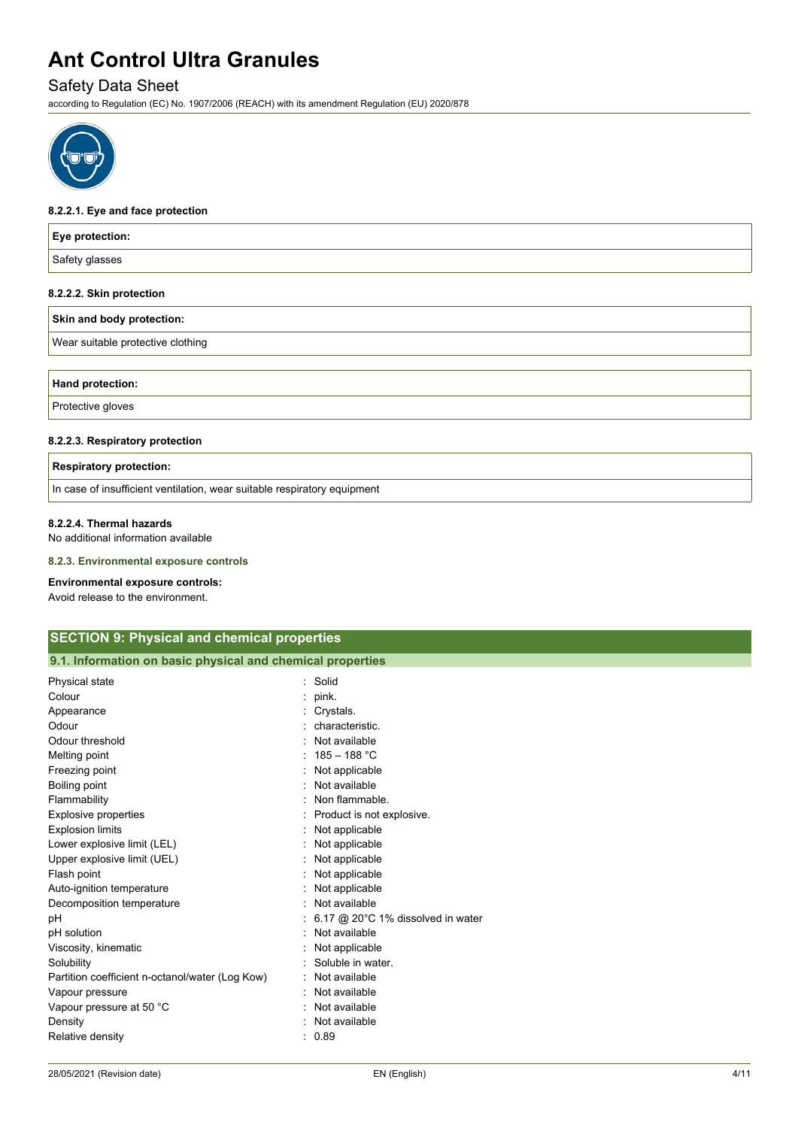## Safety Data Sheet

according to Regulation (EC) No. 1907/2006 (REACH) with its amendment Regulation (EU) 2020/878



#### **8.2.2.1. Eye and face protection**

| <b>Eye protection:</b>    |  |
|---------------------------|--|
| Safety glasses            |  |
| 8.2.2.2. Skin protection  |  |
| Skin and body protection: |  |

**Wear suitable protective clothing** 

| Hand<br>спон: |  |  |
|---------------|--|--|
| --<br>. .     |  |  |

Protective gloves

#### **8.2.2.3. Respiratory protection**

| <b>Respiratory protection:</b>                                           |
|--------------------------------------------------------------------------|
| In case of insufficient ventilation, wear suitable respiratory equipment |

#### **8.2.2.4. Thermal hazards**

No additional information available

#### **8.2.3. Environmental exposure controls**

#### **Environmental exposure controls:**

Avoid release to the environment.

| <b>SECTION 9: Physical and chemical properties</b>         |                                             |  |
|------------------------------------------------------------|---------------------------------------------|--|
| 9.1. Information on basic physical and chemical properties |                                             |  |
| Physical state                                             | Solid<br>٠.                                 |  |
| Colour                                                     | pink.                                       |  |
| Appearance                                                 | Crystals.                                   |  |
| Odour                                                      | characteristic.                             |  |
| Odour threshold                                            | Not available                               |  |
| Melting point                                              | $185 - 188 °C$                              |  |
| Freezing point                                             | Not applicable                              |  |
| Boiling point                                              | Not available                               |  |
| Flammability                                               | Non flammable.                              |  |
| <b>Explosive properties</b>                                | Product is not explosive.                   |  |
| <b>Explosion limits</b>                                    | Not applicable                              |  |
| Lower explosive limit (LEL)                                | Not applicable                              |  |
| Upper explosive limit (UEL)                                | Not applicable                              |  |
| Flash point                                                | Not applicable                              |  |
| Auto-ignition temperature                                  | Not applicable                              |  |
| Decomposition temperature                                  | Not available                               |  |
| pH                                                         | 6.17 @ 20 $\degree$ C 1% dissolved in water |  |
| pH solution                                                | Not available                               |  |
| Viscosity, kinematic                                       | Not applicable                              |  |
| Solubility                                                 | Soluble in water.                           |  |
| Partition coefficient n-octanol/water (Log Kow)            | Not available                               |  |
| Vapour pressure                                            | Not available                               |  |
| Vapour pressure at 50 °C                                   | Not available                               |  |
| Density                                                    | Not available                               |  |
| Relative density                                           | 0.89                                        |  |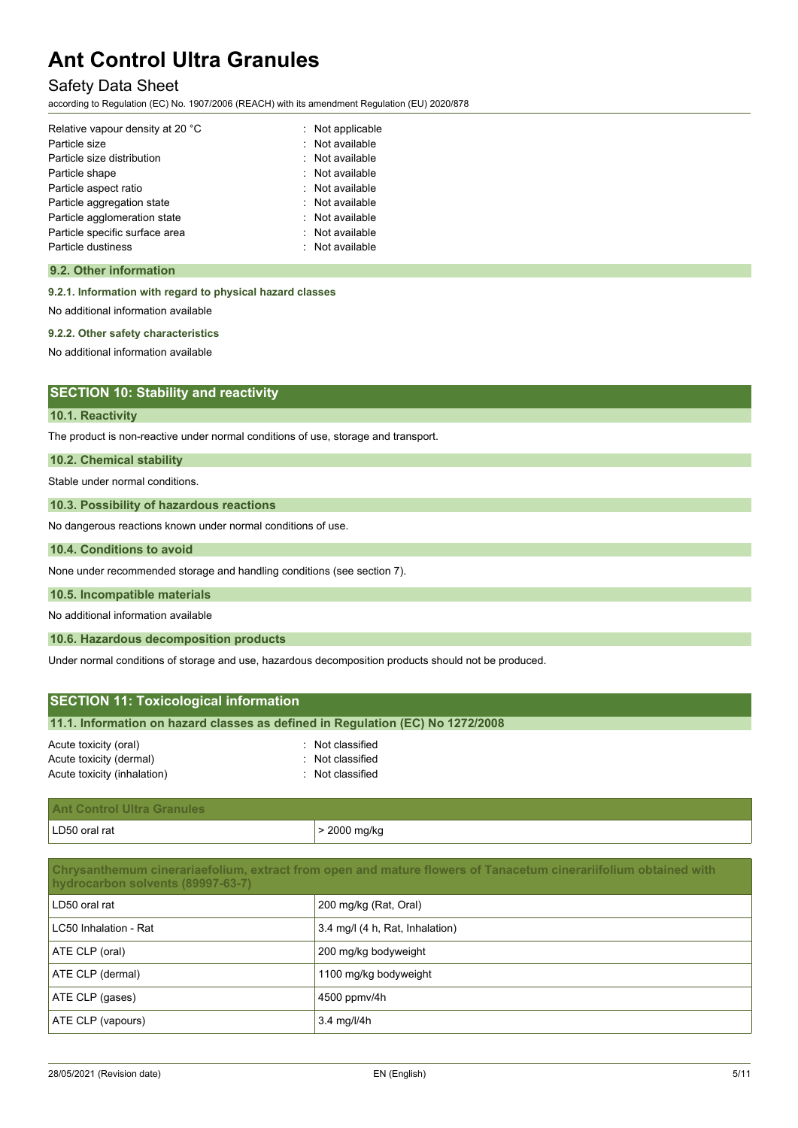## Safety Data Sheet

according to Regulation (EC) No. 1907/2006 (REACH) with its amendment Regulation (EU) 2020/878

| Relative vapour density at 20 °C | : Not applicable |
|----------------------------------|------------------|
| Particle size                    | : Not available  |
| Particle size distribution       | : Not available  |
| Particle shape                   | : Not available  |
| Particle aspect ratio            | : Not available  |
| Particle aggregation state       | : Not available  |
| Particle agglomeration state     | : Not available  |
| Particle specific surface area   | : Not available  |
| Particle dustiness               | : Not available  |

#### **9.2. Other information**

**9.2.1. Information with regard to physical hazard classes**

No additional information available

#### **9.2.2. Other safety characteristics**

No additional information available

### **SECTION 10: Stability and reactivity**

#### **10.1. Reactivity**

The product is non-reactive under normal conditions of use, storage and transport.

#### **10.2. Chemical stability**

Stable under normal conditions.

#### **10.3. Possibility of hazardous reactions**

No dangerous reactions known under normal conditions of use.

#### **10.4. Conditions to avoid**

None under recommended storage and handling conditions (see section 7).

#### **10.5. Incompatible materials**

No additional information available

#### **10.6. Hazardous decomposition products**

Under normal conditions of storage and use, hazardous decomposition products should not be produced.

| <b>SECTION 11: Toxicological information</b>                                   |                  |  |  |
|--------------------------------------------------------------------------------|------------------|--|--|
| 11.1. Information on hazard classes as defined in Regulation (EC) No 1272/2008 |                  |  |  |
| Acute toxicity (oral)                                                          | : Not classified |  |  |
| Acute toxicity (dermal)                                                        | : Not classified |  |  |
| Acute toxicity (inhalation)                                                    | : Not classified |  |  |

| <b>A</b><br>Ant Control Ultra Granules |              |
|----------------------------------------|--------------|
| LD50 oral rat                          | · 2000 mg/kg |

### **Chrysanthemum cinerariaefolium, extract from open and mature flowers of Tanacetum cinerariifolium obtained with hydrocarbon solvents (89997-63-7)**

| LD50 oral rat         | 200 mg/kg (Rat, Oral)           |
|-----------------------|---------------------------------|
| LC50 Inhalation - Rat | 3.4 mg/l (4 h, Rat, Inhalation) |
| ATE CLP (oral)        | 200 mg/kg bodyweight            |
| ATE CLP (dermal)      | 1100 mg/kg bodyweight           |
| ATE CLP (gases)       | 4500 ppmv/4h                    |
| ATE CLP (vapours)     | 3.4 mg/l/4h                     |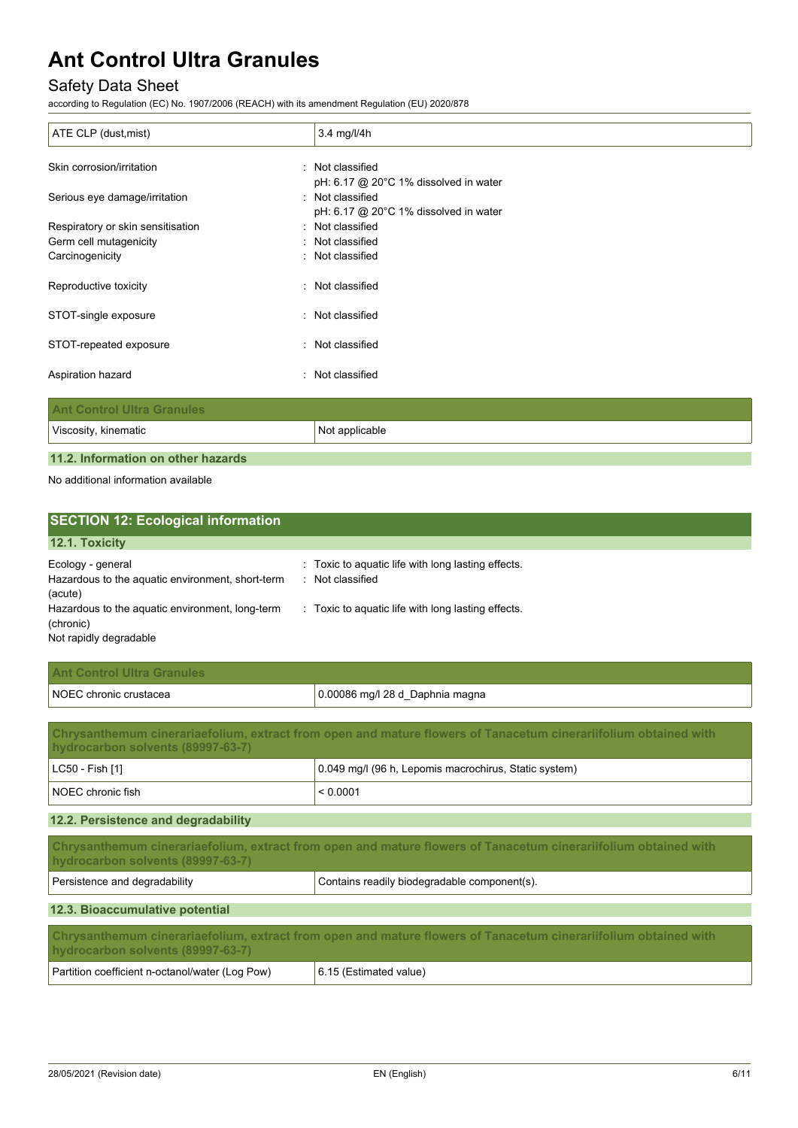## Safety Data Sheet

according to Regulation (EC) No. 1907/2006 (REACH) with its amendment Regulation (EU) 2020/878

| ATE CLP (dust, mist)              | $3.4$ mg/l/4h                                      |
|-----------------------------------|----------------------------------------------------|
| Skin corrosion/irritation         | : Not classified                                   |
|                                   | pH: 6.17 @ 20°C 1% dissolved in water              |
| Serious eye damage/irritation     | : Not classified                                   |
|                                   | pH: $6.17$ @ 20 $^{\circ}$ C 1% dissolved in water |
| Respiratory or skin sensitisation | : Not classified                                   |
| Germ cell mutagenicity            | : Not classified                                   |
| Carcinogenicity                   | : Not classified                                   |
| Reproductive toxicity             | : Not classified                                   |
| STOT-single exposure              | : Not classified                                   |
| STOT-repeated exposure            | : Not classified                                   |
| Aspiration hazard                 | : Not classified                                   |
| <b>Ant Control Ultra Granules</b> |                                                    |
| Viscosity, kinematic              | Not applicable                                     |

## **11.2. Information on other hazards**

No additional information available

| <b>SECTION 12: Ecological information</b>                                              |                                                                        |
|----------------------------------------------------------------------------------------|------------------------------------------------------------------------|
| 12.1. Toxicity                                                                         |                                                                        |
| Ecology - general<br>Hazardous to the aquatic environment, short-term<br>(acute)       | : Toxic to aquatic life with long lasting effects.<br>: Not classified |
| Hazardous to the aquatic environment, long-term<br>(chronic)<br>Not rapidly degradable | Toxic to aquatic life with long lasting effects.<br>$\sim$             |

| <b>Ant Control Ultra Granules</b> |                                 |
|-----------------------------------|---------------------------------|
| NOEC chronic crustacea            | 0.00086 mg/l 28 d_Daphnia magna |

| Chrysanthemum cinerariaefolium, extract from open and mature flowers of Tanacetum cinerariifolium obtained with<br>hydrocarbon solvents (89997-63-7) |                                                       |  |
|------------------------------------------------------------------------------------------------------------------------------------------------------|-------------------------------------------------------|--|
| $ $ LC50 - Fish [1]                                                                                                                                  | 0.049 mg/l (96 h, Lepomis macrochirus, Static system) |  |
| NOEC chronic fish<br>< 0.0001                                                                                                                        |                                                       |  |

### **12.2. Persistence and degradability**

| Chrysanthemum cinerariaefolium, extract from open and mature flowers of Tanacetum cinerariifolium obtained with<br>hydrocarbon solvents (89997-63-7) |  |  |
|------------------------------------------------------------------------------------------------------------------------------------------------------|--|--|
| Persistence and degradability<br>Contains readily biodegradable component(s).                                                                        |  |  |
| 12.3. Bioaccumulative potential                                                                                                                      |  |  |
| Chrysanthemum cinerariaefolium, extract from open and mature flowers of Tanacetum cinerariifolium obtained with<br>hydrocarbon solvents (89997-63-7) |  |  |
| Partition coefficient n-octanol/water (Log Pow)<br>6.15 (Estimated value)                                                                            |  |  |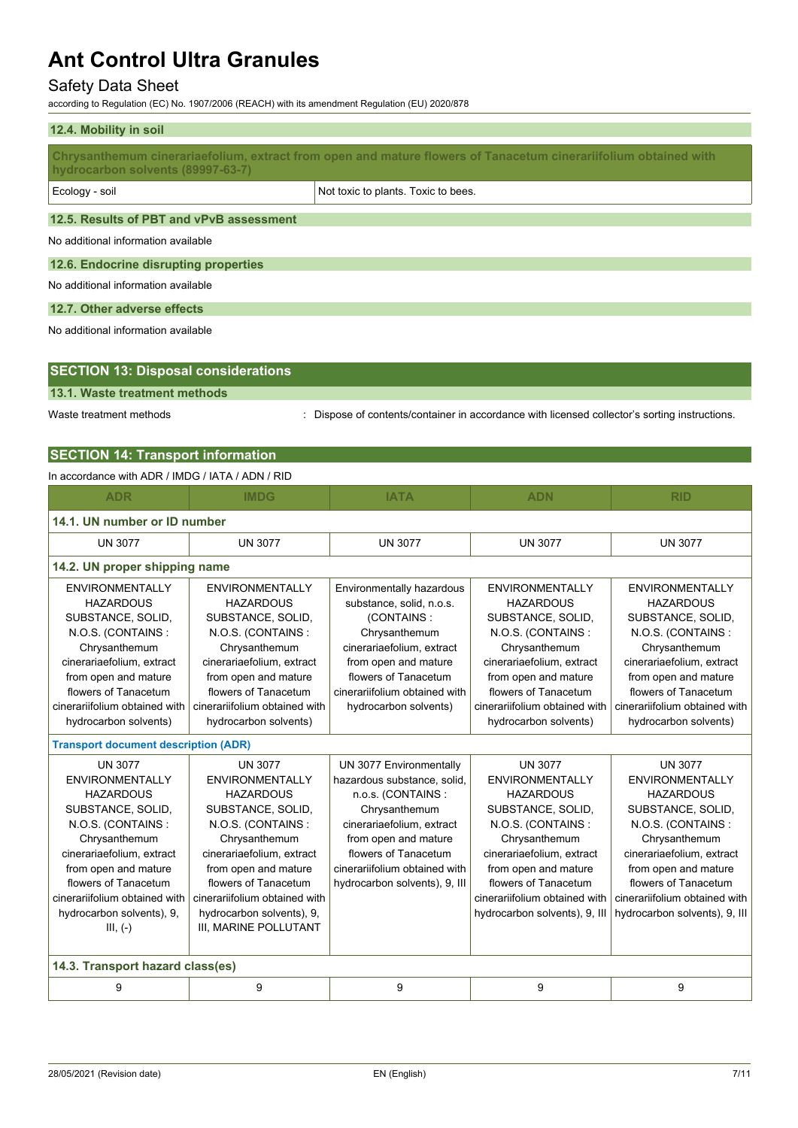## Safety Data Sheet

according to Regulation (EC) No. 1907/2006 (REACH) with its amendment Regulation (EU) 2020/878

| 12.4. Mobility in soil                   |                                                                                                                 |  |
|------------------------------------------|-----------------------------------------------------------------------------------------------------------------|--|
| hydrocarbon solvents (89997-63-7)        | Chrysanthemum cinerariaefolium, extract from open and mature flowers of Tanacetum cinerariifolium obtained with |  |
| Ecology - soil                           | Not toxic to plants. Toxic to bees.                                                                             |  |
| 12.5. Results of PBT and vPvB assessment |                                                                                                                 |  |
| No additional information available      |                                                                                                                 |  |
| 12.6. Endocrine disrupting properties    |                                                                                                                 |  |
| No additional information available      |                                                                                                                 |  |
| 12.7. Other adverse effects              |                                                                                                                 |  |
| No additional information available      |                                                                                                                 |  |
|                                          |                                                                                                                 |  |

|--|

**13.1. Waste treatment methods**

Waste treatment methods : Dispose of contents/container in accordance with licensed collector's sorting instructions.

## **SECTION 14: Transport information**

### In accordance with ADR / IMDG / IATA / ADN / RID

| <b>ADR</b>                                                                                                                                                                                                                                                                       | <b>IMDG</b>                                                                                                                                                                                                                                                                                 | <b>IATA</b>                                                                                                                                                                                                                                 | <b>ADN</b>                                                                                                                                                                                                                                                             | <b>RID</b>                                                                                                                                                                                                                                                             |  |  |  |
|----------------------------------------------------------------------------------------------------------------------------------------------------------------------------------------------------------------------------------------------------------------------------------|---------------------------------------------------------------------------------------------------------------------------------------------------------------------------------------------------------------------------------------------------------------------------------------------|---------------------------------------------------------------------------------------------------------------------------------------------------------------------------------------------------------------------------------------------|------------------------------------------------------------------------------------------------------------------------------------------------------------------------------------------------------------------------------------------------------------------------|------------------------------------------------------------------------------------------------------------------------------------------------------------------------------------------------------------------------------------------------------------------------|--|--|--|
| 14.1. UN number or ID number                                                                                                                                                                                                                                                     |                                                                                                                                                                                                                                                                                             |                                                                                                                                                                                                                                             |                                                                                                                                                                                                                                                                        |                                                                                                                                                                                                                                                                        |  |  |  |
| <b>UN 3077</b>                                                                                                                                                                                                                                                                   | <b>UN 3077</b>                                                                                                                                                                                                                                                                              | <b>UN 3077</b>                                                                                                                                                                                                                              | <b>UN 3077</b>                                                                                                                                                                                                                                                         | <b>UN 3077</b>                                                                                                                                                                                                                                                         |  |  |  |
|                                                                                                                                                                                                                                                                                  | 14.2. UN proper shipping name                                                                                                                                                                                                                                                               |                                                                                                                                                                                                                                             |                                                                                                                                                                                                                                                                        |                                                                                                                                                                                                                                                                        |  |  |  |
| <b>ENVIRONMENTALLY</b><br><b>HAZARDOUS</b><br>SUBSTANCE, SOLID,<br>N.O.S. (CONTAINS:<br>Chrysanthemum<br>cinerariaefolium, extract<br>from open and mature<br>flowers of Tanacetum<br>cinerariifolium obtained with                                                              | <b>ENVIRONMENTALLY</b><br><b>HAZARDOUS</b><br>SUBSTANCE, SOLID,<br>N.O.S. (CONTAINS:<br>Chrysanthemum<br>cinerariaefolium, extract<br>from open and mature<br>flowers of Tanacetum<br>cinerariifolium obtained with                                                                         | Environmentally hazardous<br>substance, solid, n.o.s.<br>(CONTAINS:<br>Chrysanthemum<br>cinerariaefolium, extract<br>from open and mature<br>flowers of Tanacetum<br>cinerariifolium obtained with<br>hydrocarbon solvents)                 | <b>ENVIRONMENTALLY</b><br><b>HAZARDOUS</b><br>SUBSTANCE, SOLID,<br>N.O.S. (CONTAINS:<br>Chrysanthemum<br>cinerariaefolium, extract<br>from open and mature<br>flowers of Tanacetum<br>cinerariifolium obtained with                                                    | <b>ENVIRONMENTALLY</b><br><b>HAZARDOUS</b><br>SUBSTANCE, SOLID,<br>N.O.S. (CONTAINS:<br>Chrysanthemum<br>cinerariaefolium, extract<br>from open and mature<br>flowers of Tanacetum<br>cinerariifolium obtained with                                                    |  |  |  |
| hydrocarbon solvents)                                                                                                                                                                                                                                                            | hydrocarbon solvents)                                                                                                                                                                                                                                                                       |                                                                                                                                                                                                                                             | hydrocarbon solvents)                                                                                                                                                                                                                                                  | hydrocarbon solvents)                                                                                                                                                                                                                                                  |  |  |  |
| <b>Transport document description (ADR)</b>                                                                                                                                                                                                                                      |                                                                                                                                                                                                                                                                                             |                                                                                                                                                                                                                                             |                                                                                                                                                                                                                                                                        |                                                                                                                                                                                                                                                                        |  |  |  |
| <b>UN 3077</b><br><b>ENVIRONMENTALLY</b><br><b>HAZARDOUS</b><br>SUBSTANCE, SOLID,<br>N.O.S. (CONTAINS:<br>Chrysanthemum<br>cinerariaefolium, extract<br>from open and mature<br>flowers of Tanacetum<br>cinerariifolium obtained with<br>hydrocarbon solvents), 9,<br>$III, (-)$ | <b>UN 3077</b><br><b>ENVIRONMENTALLY</b><br><b>HAZARDOUS</b><br>SUBSTANCE, SOLID,<br>N.O.S. (CONTAINS:<br>Chrysanthemum<br>cinerariaefolium, extract<br>from open and mature<br>flowers of Tanacetum<br>cinerariifolium obtained with<br>hydrocarbon solvents), 9,<br>III, MARINE POLLUTANT | UN 3077 Environmentally<br>hazardous substance, solid,<br>n.o.s. (CONTAINS:<br>Chrysanthemum<br>cinerariaefolium, extract<br>from open and mature<br>flowers of Tanacetum<br>cinerariifolium obtained with<br>hydrocarbon solvents), 9, III | <b>UN 3077</b><br><b>ENVIRONMENTALLY</b><br><b>HAZARDOUS</b><br>SUBSTANCE, SOLID,<br>N.O.S. (CONTAINS:<br>Chrysanthemum<br>cinerariaefolium, extract<br>from open and mature<br>flowers of Tanacetum<br>cinerariifolium obtained with<br>hydrocarbon solvents), 9, III | <b>UN 3077</b><br><b>ENVIRONMENTALLY</b><br><b>HAZARDOUS</b><br>SUBSTANCE, SOLID,<br>N.O.S. (CONTAINS:<br>Chrysanthemum<br>cinerariaefolium, extract<br>from open and mature<br>flowers of Tanacetum<br>cinerariifolium obtained with<br>hydrocarbon solvents), 9, III |  |  |  |
| 14.3. Transport hazard class(es)                                                                                                                                                                                                                                                 |                                                                                                                                                                                                                                                                                             |                                                                                                                                                                                                                                             |                                                                                                                                                                                                                                                                        |                                                                                                                                                                                                                                                                        |  |  |  |
| 9                                                                                                                                                                                                                                                                                | 9                                                                                                                                                                                                                                                                                           | 9                                                                                                                                                                                                                                           | 9                                                                                                                                                                                                                                                                      | 9                                                                                                                                                                                                                                                                      |  |  |  |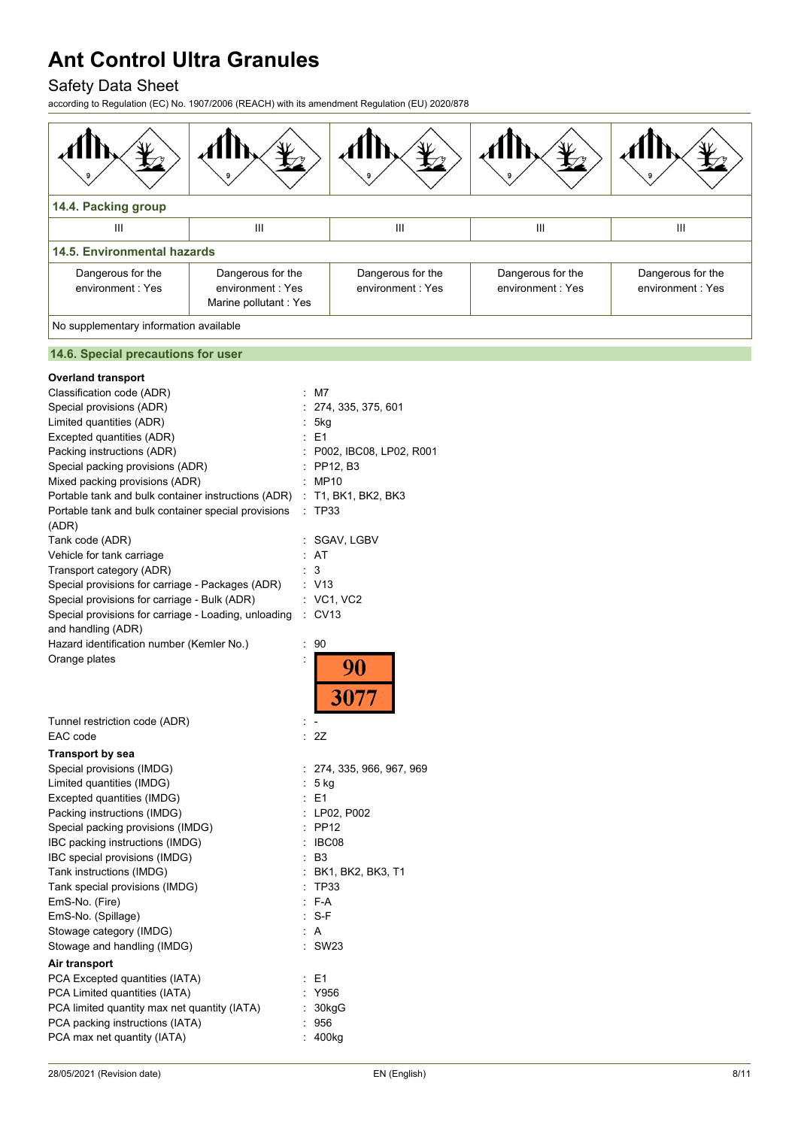## Safety Data Sheet

according to Regulation (EC) No. 1907/2006 (REACH) with its amendment Regulation (EU) 2020/878



### **14.6. Special precautions for user**

| <b>Overland transport</b>                            |                      |                           |
|------------------------------------------------------|----------------------|---------------------------|
| Classification code (ADR)                            |                      | M7                        |
| Special provisions (ADR)                             | Ì.                   | 274, 335, 375, 601        |
| Limited quantities (ADR)                             |                      | : 5kg                     |
| Excepted quantities (ADR)                            |                      | $E = 1$                   |
| Packing instructions (ADR)                           |                      | : P002, IBC08, LP02, R001 |
| Special packing provisions (ADR)                     |                      | $:$ PP12, B3              |
| Mixed packing provisions (ADR)                       |                      | : MP10                    |
| Portable tank and bulk container instructions (ADR)  |                      | $:$ T1, BK1, BK2, BK3     |
| Portable tank and bulk container special provisions  |                      | <b>TP33</b>               |
| (ADR)                                                |                      |                           |
| Tank code (ADR)                                      | t                    | SGAV, LGBV                |
| Vehicle for tank carriage                            |                      | AT                        |
| Transport category (ADR)                             |                      | 3                         |
| Special provisions for carriage - Packages (ADR)     | t                    | V13                       |
| Special provisions for carriage - Bulk (ADR)         |                      | VC1, VC2                  |
| Special provisions for carriage - Loading, unloading | ÷.                   | <b>CV13</b>               |
| and handling (ADR)                                   |                      |                           |
| Hazard identification number (Kemler No.)            | Ì.                   | 90                        |
| Orange plates                                        | $\ddot{\cdot}$       | 90<br>3077                |
| Tunnel restriction code (ADR)                        |                      |                           |
| EAC code                                             | ł,                   | 2Z                        |
| Transport by sea                                     |                      |                           |
| Special provisions (IMDG)                            |                      | 274, 335, 966, 967, 969   |
| Limited quantities (IMDG)                            | t,                   | 5 kg                      |
| Excepted quantities (IMDG)                           |                      | E <sub>1</sub>            |
| Packing instructions (IMDG)                          | $\ddot{\phantom{a}}$ | LP02, P002                |
| Special packing provisions (IMDG)                    |                      | : PP12                    |
| IBC packing instructions (IMDG)                      |                      | IBC08                     |
| IBC special provisions (IMDG)                        | ÷                    | B3                        |
| Tank instructions (IMDG)                             | Ì.                   | BK1, BK2, BK3, T1         |
| Tank special provisions (IMDG)                       |                      | <b>TP33</b>               |
| EmS-No. (Fire)                                       | $\ddot{\phantom{a}}$ | F-A                       |
| EmS-No. (Spillage)                                   | ÷                    | S-F                       |
| Stowage category (IMDG)                              |                      | A                         |
| Stowage and handling (IMDG)                          |                      | SW23                      |
| Air transport                                        |                      |                           |
| PCA Excepted quantities (IATA)                       |                      | E1                        |
| PCA Limited quantities (IATA)                        |                      | Y956                      |
| PCA limited quantity max net quantity (IATA)         |                      | : 30kgG                   |
| PCA packing instructions (IATA)                      |                      | 956                       |
| PCA max net quantity (IATA)                          |                      | 400 <sub>kg</sub>         |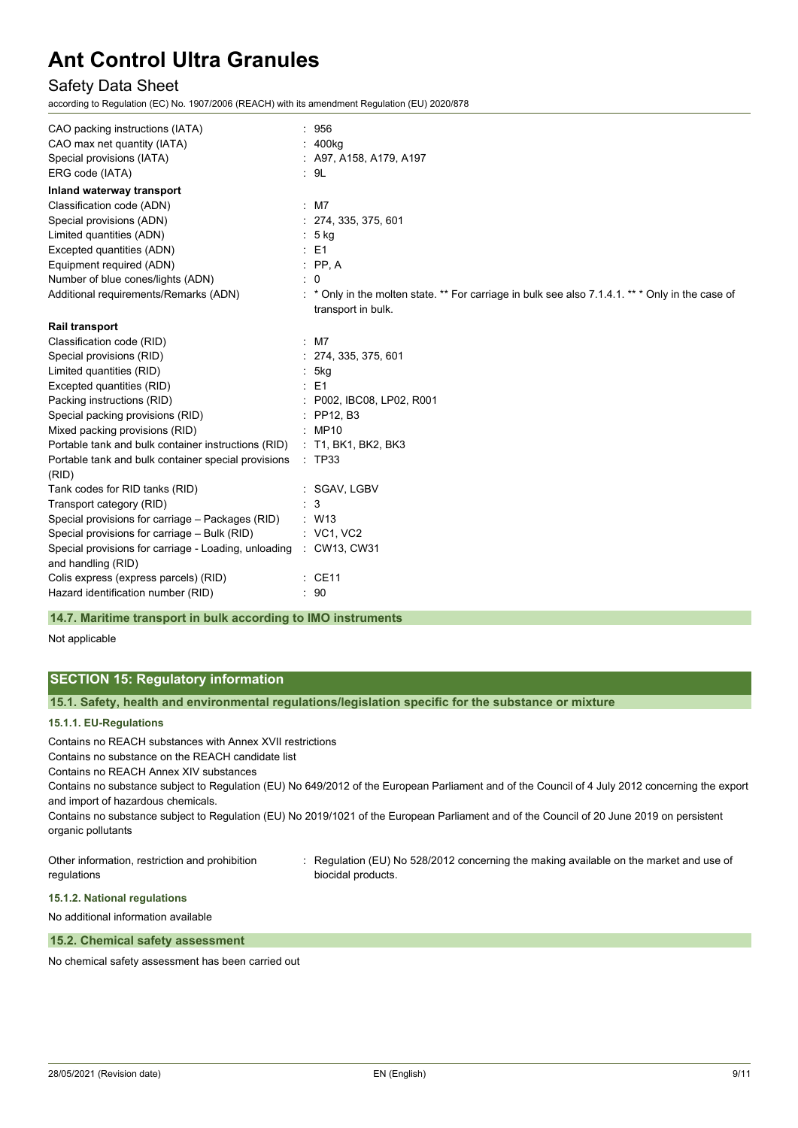## Safety Data Sheet

according to Regulation (EC) No. 1907/2006 (REACH) with its amendment Regulation (EU) 2020/878

| CAO packing instructions (IATA)                                                         | : 956                                                                                                                |
|-----------------------------------------------------------------------------------------|----------------------------------------------------------------------------------------------------------------------|
| CAO max net quantity (IATA)                                                             | : 400kg                                                                                                              |
| Special provisions (IATA)                                                               | $:$ A97, A158, A179, A197                                                                                            |
| ERG code (IATA)                                                                         | : 9L                                                                                                                 |
| Inland waterway transport                                                               |                                                                                                                      |
| Classification code (ADN)                                                               | $:$ M7                                                                                                               |
| Special provisions (ADN)                                                                | : 274, 335, 375, 601                                                                                                 |
| Limited quantities (ADN)                                                                | : 5 kg                                                                                                               |
| Excepted quantities (ADN)                                                               | $\therefore$ E1                                                                                                      |
| Equipment required (ADN)                                                                | $\therefore$ PP, A                                                                                                   |
| Number of blue cones/lights (ADN)                                                       | $\therefore$ 0                                                                                                       |
| Additional requirements/Remarks (ADN)                                                   | * Only in the molten state. ** For carriage in bulk see also 7.1.4.1. ** * Only in the case of<br>transport in bulk. |
| <b>Rail transport</b>                                                                   |                                                                                                                      |
| Classification code (RID)                                                               | $:$ M7                                                                                                               |
| Special provisions (RID)                                                                | : 274, 335, 375, 601                                                                                                 |
| Limited quantities (RID)                                                                | 5kg                                                                                                                  |
| Excepted quantities (RID)                                                               | : E1                                                                                                                 |
| Packing instructions (RID)                                                              | : P002, IBC08, LP02, R001                                                                                            |
| Special packing provisions (RID)                                                        | $:$ PP12, B3                                                                                                         |
| Mixed packing provisions (RID)                                                          | <b>MP10</b>                                                                                                          |
| Portable tank and bulk container instructions (RID)                                     | : T1, BK1, BK2, BK3                                                                                                  |
| Portable tank and bulk container special provisions<br>(RID)                            | : TP33                                                                                                               |
| Tank codes for RID tanks (RID)                                                          | : SGAV, LGBV                                                                                                         |
| Transport category (RID)                                                                | 3                                                                                                                    |
| Special provisions for carriage - Packages (RID)                                        | : W13                                                                                                                |
| Special provisions for carriage - Bulk (RID)                                            | : VC1, VC2                                                                                                           |
| Special provisions for carriage - Loading, unloading : CW13, CW31<br>and handling (RID) |                                                                                                                      |
| Colis express (express parcels) (RID)                                                   | : CE11                                                                                                               |
| Hazard identification number (RID)                                                      | : 90                                                                                                                 |

#### **14.7. Maritime transport in bulk according to IMO instruments**

Not applicable

## **SECTION 15: Regulatory information**

**15.1. Safety, health and environmental regulations/legislation specific for the substance or mixture**

## **15.1.1. EU-Regulations**

Contains no REACH substances with Annex XVII restrictions

Contains no substance on the REACH candidate list

Contains no REACH Annex XIV substances

Contains no substance subject to Regulation (EU) No 649/2012 of the European Parliament and of the Council of 4 July 2012 concerning the export and import of hazardous chemicals.

Contains no substance subject to Regulation (EU) No 2019/1021 of the European Parliament and of the Council of 20 June 2019 on persistent organic pollutants

Other information, restriction and prohibition regulations

: Regulation (EU) No 528/2012 concerning the making available on the market and use of biocidal products.

**15.1.2. National regulations**

No additional information available

#### **15.2. Chemical safety assessment**

No chemical safety assessment has been carried out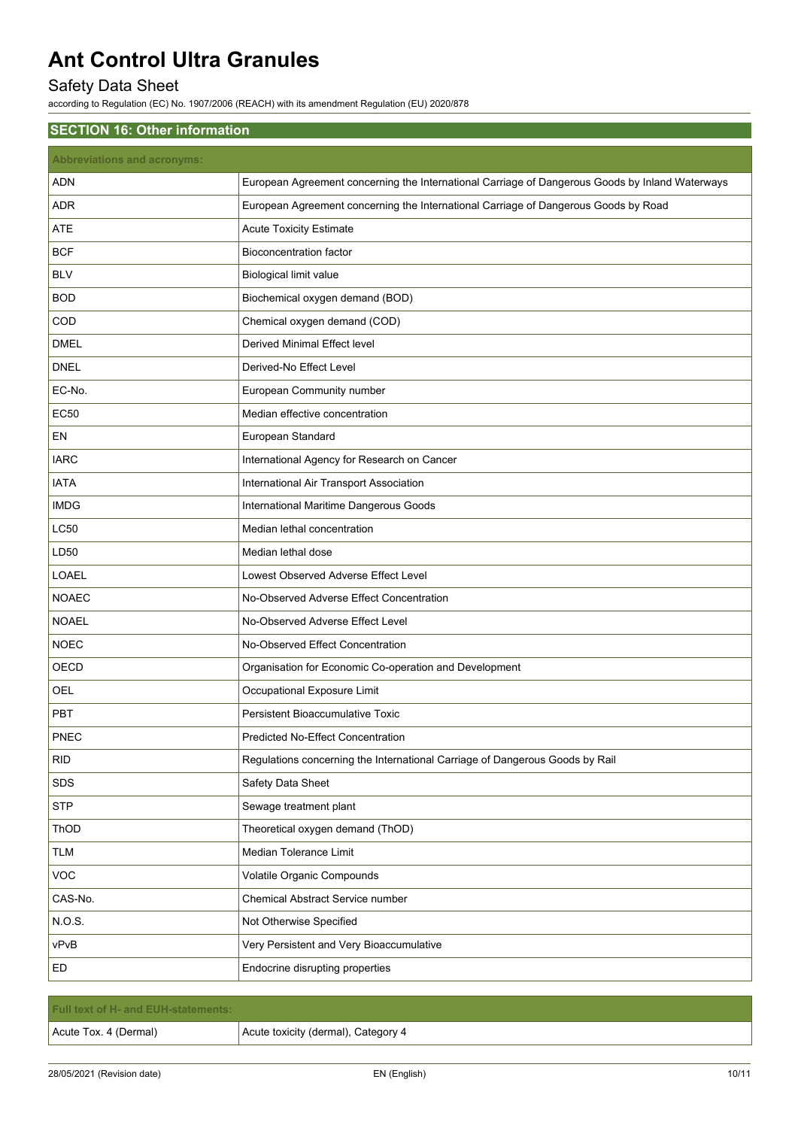## Safety Data Sheet

according to Regulation (EC) No. 1907/2006 (REACH) with its amendment Regulation (EU) 2020/878

| <b>Abbreviations and acronyms:</b><br><b>ADN</b><br>European Agreement concerning the International Carriage of Dangerous Goods by Inland Waterways<br>European Agreement concerning the International Carriage of Dangerous Goods by Road<br><b>ADR</b><br><b>ATE</b><br><b>Acute Toxicity Estimate</b><br><b>BCF</b><br><b>Bioconcentration factor</b><br><b>BLV</b><br><b>Biological limit value</b><br><b>BOD</b><br>Biochemical oxygen demand (BOD)<br>Chemical oxygen demand (COD)<br>COD<br><b>DMEL</b><br>Derived Minimal Effect level<br><b>DNEL</b><br>Derived-No Effect Level<br>EC-No.<br>European Community number<br><b>EC50</b><br>Median effective concentration<br>EN<br>European Standard<br><b>IARC</b><br>International Agency for Research on Cancer<br><b>IATA</b><br>International Air Transport Association<br><b>IMDG</b><br>International Maritime Dangerous Goods<br>LC50<br>Median lethal concentration<br>LD50<br>Median lethal dose<br>LOAEL<br>Lowest Observed Adverse Effect Level |
|--------------------------------------------------------------------------------------------------------------------------------------------------------------------------------------------------------------------------------------------------------------------------------------------------------------------------------------------------------------------------------------------------------------------------------------------------------------------------------------------------------------------------------------------------------------------------------------------------------------------------------------------------------------------------------------------------------------------------------------------------------------------------------------------------------------------------------------------------------------------------------------------------------------------------------------------------------------------------------------------------------------------|
|                                                                                                                                                                                                                                                                                                                                                                                                                                                                                                                                                                                                                                                                                                                                                                                                                                                                                                                                                                                                                    |
|                                                                                                                                                                                                                                                                                                                                                                                                                                                                                                                                                                                                                                                                                                                                                                                                                                                                                                                                                                                                                    |
|                                                                                                                                                                                                                                                                                                                                                                                                                                                                                                                                                                                                                                                                                                                                                                                                                                                                                                                                                                                                                    |
|                                                                                                                                                                                                                                                                                                                                                                                                                                                                                                                                                                                                                                                                                                                                                                                                                                                                                                                                                                                                                    |
|                                                                                                                                                                                                                                                                                                                                                                                                                                                                                                                                                                                                                                                                                                                                                                                                                                                                                                                                                                                                                    |
|                                                                                                                                                                                                                                                                                                                                                                                                                                                                                                                                                                                                                                                                                                                                                                                                                                                                                                                                                                                                                    |
|                                                                                                                                                                                                                                                                                                                                                                                                                                                                                                                                                                                                                                                                                                                                                                                                                                                                                                                                                                                                                    |
|                                                                                                                                                                                                                                                                                                                                                                                                                                                                                                                                                                                                                                                                                                                                                                                                                                                                                                                                                                                                                    |
|                                                                                                                                                                                                                                                                                                                                                                                                                                                                                                                                                                                                                                                                                                                                                                                                                                                                                                                                                                                                                    |
|                                                                                                                                                                                                                                                                                                                                                                                                                                                                                                                                                                                                                                                                                                                                                                                                                                                                                                                                                                                                                    |
|                                                                                                                                                                                                                                                                                                                                                                                                                                                                                                                                                                                                                                                                                                                                                                                                                                                                                                                                                                                                                    |
|                                                                                                                                                                                                                                                                                                                                                                                                                                                                                                                                                                                                                                                                                                                                                                                                                                                                                                                                                                                                                    |
|                                                                                                                                                                                                                                                                                                                                                                                                                                                                                                                                                                                                                                                                                                                                                                                                                                                                                                                                                                                                                    |
|                                                                                                                                                                                                                                                                                                                                                                                                                                                                                                                                                                                                                                                                                                                                                                                                                                                                                                                                                                                                                    |
|                                                                                                                                                                                                                                                                                                                                                                                                                                                                                                                                                                                                                                                                                                                                                                                                                                                                                                                                                                                                                    |
|                                                                                                                                                                                                                                                                                                                                                                                                                                                                                                                                                                                                                                                                                                                                                                                                                                                                                                                                                                                                                    |
|                                                                                                                                                                                                                                                                                                                                                                                                                                                                                                                                                                                                                                                                                                                                                                                                                                                                                                                                                                                                                    |
|                                                                                                                                                                                                                                                                                                                                                                                                                                                                                                                                                                                                                                                                                                                                                                                                                                                                                                                                                                                                                    |
|                                                                                                                                                                                                                                                                                                                                                                                                                                                                                                                                                                                                                                                                                                                                                                                                                                                                                                                                                                                                                    |
| <b>NOAEC</b><br>No-Observed Adverse Effect Concentration                                                                                                                                                                                                                                                                                                                                                                                                                                                                                                                                                                                                                                                                                                                                                                                                                                                                                                                                                           |
| <b>NOAEL</b><br>No-Observed Adverse Effect Level                                                                                                                                                                                                                                                                                                                                                                                                                                                                                                                                                                                                                                                                                                                                                                                                                                                                                                                                                                   |
| <b>NOEC</b><br>No-Observed Effect Concentration                                                                                                                                                                                                                                                                                                                                                                                                                                                                                                                                                                                                                                                                                                                                                                                                                                                                                                                                                                    |
| OECD<br>Organisation for Economic Co-operation and Development                                                                                                                                                                                                                                                                                                                                                                                                                                                                                                                                                                                                                                                                                                                                                                                                                                                                                                                                                     |
| Occupational Exposure Limit<br>OEL                                                                                                                                                                                                                                                                                                                                                                                                                                                                                                                                                                                                                                                                                                                                                                                                                                                                                                                                                                                 |
| <b>PBT</b><br>Persistent Bioaccumulative Toxic                                                                                                                                                                                                                                                                                                                                                                                                                                                                                                                                                                                                                                                                                                                                                                                                                                                                                                                                                                     |
| PNEC<br>Predicted No-Effect Concentration                                                                                                                                                                                                                                                                                                                                                                                                                                                                                                                                                                                                                                                                                                                                                                                                                                                                                                                                                                          |
| <b>RID</b><br>Regulations concerning the International Carriage of Dangerous Goods by Rail                                                                                                                                                                                                                                                                                                                                                                                                                                                                                                                                                                                                                                                                                                                                                                                                                                                                                                                         |
| SDS<br>Safety Data Sheet                                                                                                                                                                                                                                                                                                                                                                                                                                                                                                                                                                                                                                                                                                                                                                                                                                                                                                                                                                                           |
| <b>STP</b><br>Sewage treatment plant                                                                                                                                                                                                                                                                                                                                                                                                                                                                                                                                                                                                                                                                                                                                                                                                                                                                                                                                                                               |
| Theoretical oxygen demand (ThOD)<br>ThOD                                                                                                                                                                                                                                                                                                                                                                                                                                                                                                                                                                                                                                                                                                                                                                                                                                                                                                                                                                           |
| Median Tolerance Limit<br><b>TLM</b>                                                                                                                                                                                                                                                                                                                                                                                                                                                                                                                                                                                                                                                                                                                                                                                                                                                                                                                                                                               |
| VOC<br>Volatile Organic Compounds                                                                                                                                                                                                                                                                                                                                                                                                                                                                                                                                                                                                                                                                                                                                                                                                                                                                                                                                                                                  |
| CAS-No.<br>Chemical Abstract Service number                                                                                                                                                                                                                                                                                                                                                                                                                                                                                                                                                                                                                                                                                                                                                                                                                                                                                                                                                                        |
| N.O.S.<br>Not Otherwise Specified                                                                                                                                                                                                                                                                                                                                                                                                                                                                                                                                                                                                                                                                                                                                                                                                                                                                                                                                                                                  |
| vPvB<br>Very Persistent and Very Bioaccumulative                                                                                                                                                                                                                                                                                                                                                                                                                                                                                                                                                                                                                                                                                                                                                                                                                                                                                                                                                                   |
| ED<br>Endocrine disrupting properties                                                                                                                                                                                                                                                                                                                                                                                                                                                                                                                                                                                                                                                                                                                                                                                                                                                                                                                                                                              |

| <b>Full text of H- and EUH-statements:</b> |                                     |
|--------------------------------------------|-------------------------------------|
| Acute Tox. 4 (Dermal)                      | Acute toxicity (dermal), Category 4 |